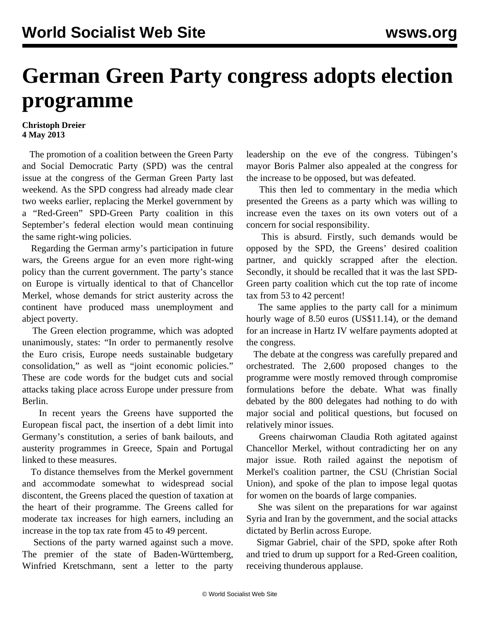## **German Green Party congress adopts election programme**

## **Christoph Dreier 4 May 2013**

 The promotion of a coalition between the Green Party and Social Democratic Party (SPD) was the central issue at the congress of the German Green Party last weekend. As the SPD congress had already made clear two weeks earlier, replacing the Merkel government by a "Red-Green" SPD-Green Party coalition in this September's federal election would mean continuing the same right-wing policies.

 Regarding the German army's participation in future wars, the Greens argue for an even more right-wing policy than the current government. The party's stance on Europe is virtually identical to that of Chancellor Merkel, whose demands for strict austerity across the continent have produced mass unemployment and abject poverty.

 The Green election programme, which was adopted unanimously, states: "In order to permanently resolve the Euro crisis, Europe needs sustainable budgetary consolidation," as well as "joint economic policies." These are code words for the budget cuts and social attacks taking place across Europe under pressure from Berlin.

 In recent years the Greens have supported the European fiscal pact, the insertion of a debt limit into Germany's constitution, a series of bank bailouts, and austerity programmes in Greece, Spain and Portugal linked to these measures.

 To distance themselves from the Merkel government and accommodate somewhat to widespread social discontent, the Greens placed the question of taxation at the heart of their programme. The Greens called for moderate tax increases for high earners, including an increase in the top tax rate from 45 to 49 percent.

 Sections of the party warned against such a move. The premier of the state of Baden-Württemberg, Winfried Kretschmann, sent a letter to the party leadership on the eve of the congress. Tübingen's mayor Boris Palmer also appealed at the congress for the increase to be opposed, but was defeated.

 This then led to commentary in the media which presented the Greens as a party which was willing to increase even the taxes on its own voters out of a concern for social responsibility.

 This is absurd. Firstly, such demands would be opposed by the SPD, the Greens' desired coalition partner, and quickly scrapped after the election. Secondly, it should be recalled that it was the last SPD-Green party coalition which cut the top rate of income tax from 53 to 42 percent!

 The same applies to the party call for a minimum hourly wage of 8.50 euros (US\$11.14), or the demand for an increase in Hartz IV welfare payments adopted at the congress.

 The debate at the congress was carefully prepared and orchestrated. The 2,600 proposed changes to the programme were mostly removed through compromise formulations before the debate. What was finally debated by the 800 delegates had nothing to do with major social and political questions, but focused on relatively minor issues.

 Greens chairwoman Claudia Roth agitated against Chancellor Merkel, without contradicting her on any major issue. Roth railed against the nepotism of Merkel's coalition partner, the CSU (Christian Social Union), and spoke of the plan to impose legal quotas for women on the boards of large companies.

 She was silent on the preparations for war against Syria and Iran by the government, and the social attacks dictated by Berlin across Europe.

 Sigmar Gabriel, chair of the SPD, spoke after Roth and tried to drum up support for a Red-Green coalition, receiving thunderous applause.